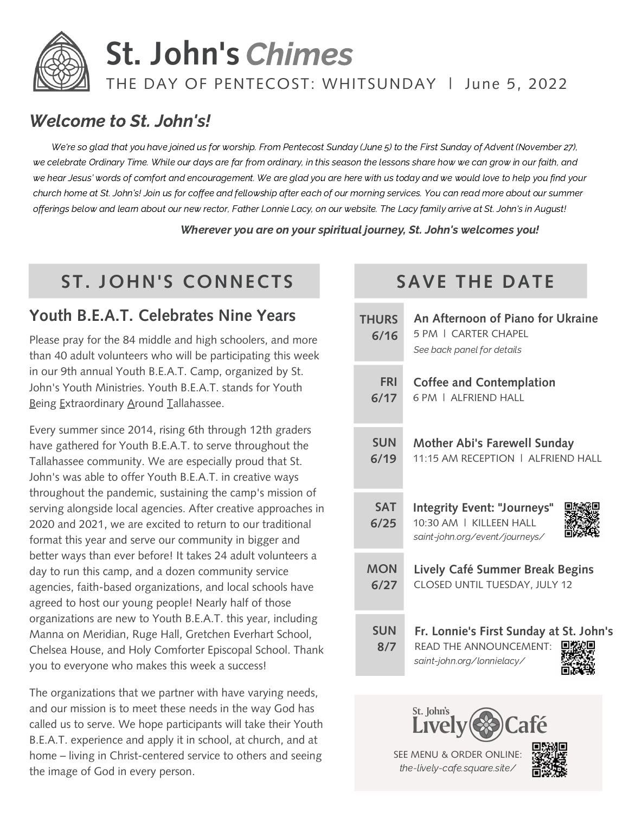

# **St. John's** Chimes

#### THE DAY OF PENTECOST: WHITSUNDAY | June 5, 2022

#### Welcome to St. John's!

We're so glad that you have joined us for worship. From Pentecost Sunday (June 5) to the First Sunday of Advent (November 27), we celebrate Ordinary Time. While our days are far from ordinary, in this season the lessons share how we can grow in our faith, and we hear Jesus' words of comfort and encouragement. We are glad you are here with us today and we would love to help you find your church home at St. John's! Join us for coffee and fellowship after each of our morning services. You can read more about our summer offerings below and learn about our new rector, Father Lonnie Lacy, on our website. The Lacy family arrive at St. John's in August!

Wherever you are on your spiritual journey, St. John's welcomes you!

### **ST. JOHN'S CONNECTS SAVE THE DATE**

#### **Youth B.E.A.T. Celebrates Nine Years**

Please pray for the 84 middle and high schoolers, and more than 40 adult volunteers who will be participating this week in our 9th annual Youth B.E.A.T. Camp, organized by St. John's Youth Ministries. Youth B.E.A.T. stands for Youth Being Extraordinary Around Tallahassee.

Every summer since 2014, rising 6th through 12th graders have gathered for Youth B.E.A.T. to serve throughout the Tallahassee community. We are especially proud that St. John's was able to offer Youth B.E.A.T. in creative ways throughout the pandemic, sustaining the camp's mission of serving alongside local agencies. After creative approaches in 2020 and 2021, we are excited to return to our traditional format this year and serve our community in bigger and better ways than ever before! It takes 24 adult volunteers a day to run this camp, and a dozen community service agencies, faith-based organizations, and local schools have agreed to host our young people! Nearly half of those organizations are new to Youth B.E.A.T. this year, including Manna on Meridian, Ruge Hall, Gretchen Everhart School, Chelsea House, and Holy Comforter Episcopal School. Thank you to everyone who makes this week a success!

The organizations that we partner with have varying needs, and our mission is to meet these needs in the way God has called us to serve. We hope participants will take their Youth B.E.A.T. experience and apply it in school, at church, and at home – living in Christ-centered service to others and seeing the image of God in every person.

| <b>THURS</b><br>6/16 | An Afternoon of Piano for Ukraine<br>5 PM   CARTER CHAPFI<br>See back panel for details                |  |  |  |  |  |
|----------------------|--------------------------------------------------------------------------------------------------------|--|--|--|--|--|
| <b>FRI</b><br>6/17   | <b>Coffee and Contemplation</b><br>6 PM   ALERIEND HALL                                                |  |  |  |  |  |
| <b>SUN</b><br>6/19   | <b>Mother Abi's Farewell Sunday</b><br>11:15 AM RECEPTION   ALERIEND HALL                              |  |  |  |  |  |
| <b>SAT</b><br>6/25   | <b>Integrity Event: "Journeys"</b><br>10:30 AM   KILLEEN HALL<br>saint-john.org/event/journeys/        |  |  |  |  |  |
| <b>MON</b><br>6/27   | Lively Café Summer Break Begins<br>CLOSED UNTIL TUESDAY, JULY 12                                       |  |  |  |  |  |
| <b>SUN</b><br>8/7    | Fr. Lonnie's First Sunday at St. John's<br><b>READ THE ANNOUNCEMENT:</b><br>saint-john.org/lonnielacy/ |  |  |  |  |  |
|                      |                                                                                                        |  |  |  |  |  |



SEE MENU & ORDER ONLINE: the-lively-cafe.square.site/